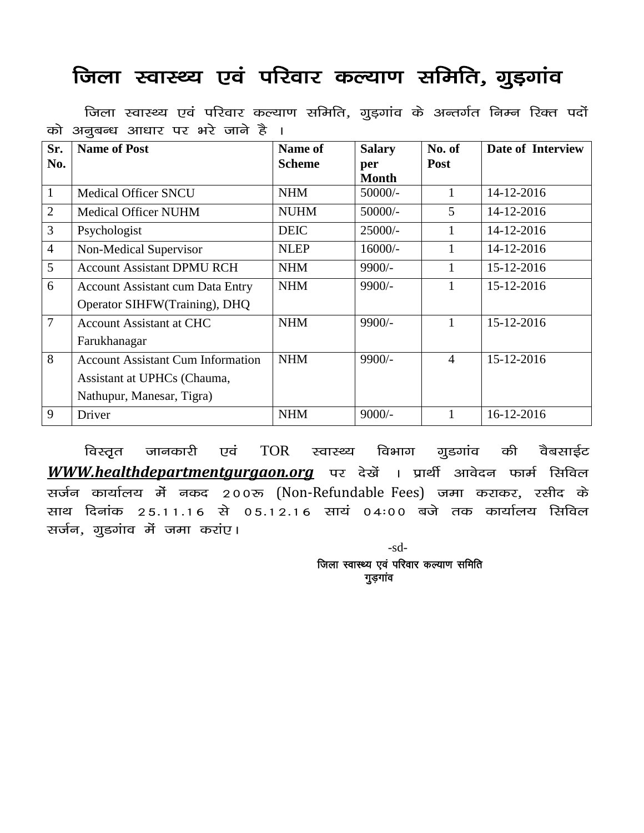## जिला स्वास्थ्य एवं परिवार कल्याण समिति, गुड़गांव

| Sr.            | <b>Name of Post</b>                      | Name of       | <b>Salary</b>       | No. of         | Date of Interview |
|----------------|------------------------------------------|---------------|---------------------|----------------|-------------------|
| No.            |                                          | <b>Scheme</b> | per<br><b>Month</b> | Post           |                   |
| $\mathbf{1}$   | <b>Medical Officer SNCU</b>              | <b>NHM</b>    | $50000/-$           |                | 14-12-2016        |
| $\overline{2}$ | <b>Medical Officer NUHM</b>              | <b>NUHM</b>   | 50000/-             | 5              | 14-12-2016        |
| 3              | Psychologist                             | <b>DEIC</b>   | $25000/-$           |                | 14-12-2016        |
| $\overline{4}$ | Non-Medical Supervisor                   | <b>NLEP</b>   | $16000/-$           |                | 14-12-2016        |
| 5              | <b>Account Assistant DPMU RCH</b>        | <b>NHM</b>    | $9900/-$            |                | 15-12-2016        |
| 6              | <b>Account Assistant cum Data Entry</b>  | <b>NHM</b>    | $9900/-$            |                | 15-12-2016        |
|                | Operator SIHFW(Training), DHQ            |               |                     |                |                   |
| $\overline{7}$ | <b>Account Assistant at CHC</b>          | <b>NHM</b>    | $9900/-$            |                | 15-12-2016        |
|                | Farukhanagar                             |               |                     |                |                   |
| 8              | <b>Account Assistant Cum Information</b> | <b>NHM</b>    | $9900/-$            | $\overline{4}$ | 15-12-2016        |
|                | Assistant at UPHCs (Chauma,              |               |                     |                |                   |
|                | Nathupur, Manesar, Tigra)                |               |                     |                |                   |
| 9              | Driver                                   | <b>NHM</b>    | $9000/-$            |                | 16-12-2016        |

जिला स्वास्थ्य एवं परिवार कल्याण समिति, गुड़गांव के अन्तर्गत निम्न रिक्त पदों को अनूबन्ध आधार पर भरे जाने है ।

विस्तृत जानकारी एवं TOR स्वास्थ्य विभाग गुडगांव की वैबसाईट **WWW.healthdepartmentgurgaon.org** पर देखें । प्रार्थी आवेदन फार्म सिविल सर्जन कार्यालय में नकद 200रू (Non-Refundable Fees) जमा कराकर, रसीद के साथ दिनांक 25.11.16 से 05.12.16 सायं 04:00 बजे तक कार्यालय सिविल सर्जन, गुडगांव में जमा करांए।

> -sd- जिला स्वास्थ्य एवं परिवार कल्याण समिति गुड़गांव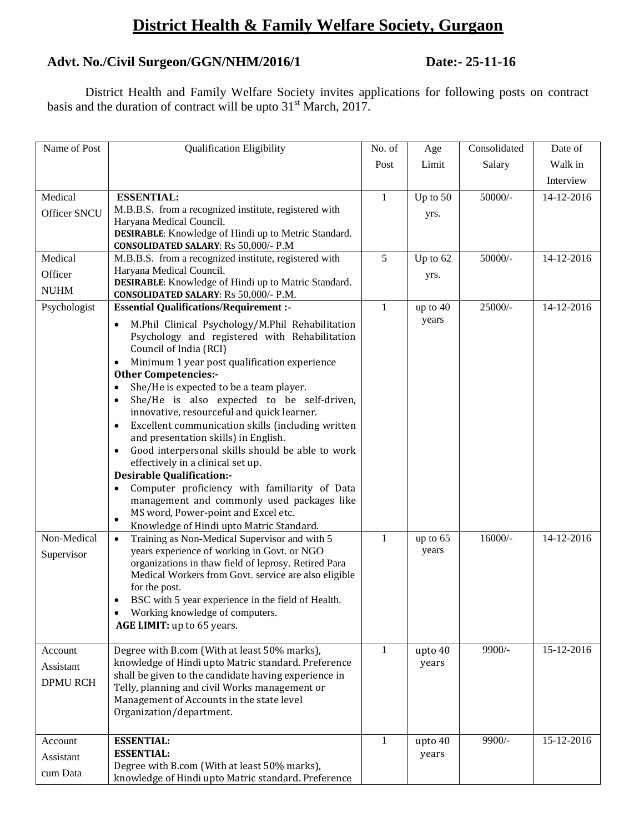## **District Health & Family Welfare Society, Gurgaon**

## **Advt. No./Civil Surgeon/GGN/NHM/2016/1 Date:- 25-11-16**

District Health and Family Welfare Society invites applications for following posts on contract basis and the duration of contract will be upto  $31<sup>st</sup>$  March, 2017.

| Name of Post    | <b>Qualification Eligibility</b>                                                                     | No. of       | Age        | Consolidated | Date of          |
|-----------------|------------------------------------------------------------------------------------------------------|--------------|------------|--------------|------------------|
|                 |                                                                                                      | Post         | Limit      | Salary       | Walk in          |
|                 |                                                                                                      |              |            |              | Interview        |
| Medical         | <b>ESSENTIAL:</b>                                                                                    | $\mathbf{1}$ | Up to 50   | 50000/-      | 14-12-2016       |
| Officer SNCU    | M.B.B.S. from a recognized institute, registered with                                                |              | yrs.       |              |                  |
|                 | Haryana Medical Council.                                                                             |              |            |              |                  |
|                 | DESIRABLE: Knowledge of Hindi up to Metric Standard.                                                 |              |            |              |                  |
| Medical         | <b>CONSOLIDATED SALARY: Rs 50,000/- P.M</b><br>M.B.B.S. from a recognized institute, registered with | 5            | Up to $62$ | 50000/-      | $14 - 12 - 2016$ |
|                 | Haryana Medical Council.                                                                             |              |            |              |                  |
| Officer         | <b>DESIRABLE:</b> Knowledge of Hindi up to Matric Standard.                                          |              | yrs.       |              |                  |
| <b>NUHM</b>     | CONSOLIDATED SALARY: Rs 50,000/- P.M.                                                                |              |            |              |                  |
| Psychologist    | <b>Essential Qualifications/Requirement :-</b>                                                       | $\mathbf{1}$ | up to 40   | 25000/-      | 14-12-2016       |
|                 | M.Phil Clinical Psychology/M.Phil Rehabilitation                                                     |              | years      |              |                  |
|                 | Psychology and registered with Rehabilitation                                                        |              |            |              |                  |
|                 | Council of India (RCI)                                                                               |              |            |              |                  |
|                 | Minimum 1 year post qualification experience                                                         |              |            |              |                  |
|                 | <b>Other Competencies:-</b><br>She/He is expected to be a team player.                               |              |            |              |                  |
|                 | She/He is also expected to be self-driven,                                                           |              |            |              |                  |
|                 | innovative, resourceful and quick learner.                                                           |              |            |              |                  |
|                 | Excellent communication skills (including written                                                    |              |            |              |                  |
|                 | and presentation skills) in English.                                                                 |              |            |              |                  |
|                 | Good interpersonal skills should be able to work<br>$\bullet$                                        |              |            |              |                  |
|                 | effectively in a clinical set up.                                                                    |              |            |              |                  |
|                 | <b>Desirable Qualification:-</b>                                                                     |              |            |              |                  |
|                 | Computer proficiency with familiarity of Data                                                        |              |            |              |                  |
|                 | management and commonly used packages like<br>MS word, Power-point and Excel etc.                    |              |            |              |                  |
|                 | Knowledge of Hindi upto Matric Standard.                                                             |              |            |              |                  |
| Non-Medical     | Training as Non-Medical Supervisor and with 5<br>$\bullet$                                           | $\mathbf{1}$ | up to 65   | $16000/-$    | 14-12-2016       |
| Supervisor      | years experience of working in Govt. or NGO                                                          |              | years      |              |                  |
|                 | organizations in thaw field of leprosy. Retired Para                                                 |              |            |              |                  |
|                 | Medical Workers from Govt. service are also eligible                                                 |              |            |              |                  |
|                 | for the post.                                                                                        |              |            |              |                  |
|                 | BSC with 5 year experience in the field of Health.<br>Working knowledge of computers.                |              |            |              |                  |
|                 | AGE LIMIT: up to 65 years.                                                                           |              |            |              |                  |
|                 |                                                                                                      |              |            |              |                  |
| Account         | Degree with B.com (With at least 50% marks),                                                         | $\mathbf{1}$ | upto 40    | 9900/-       | 15-12-2016       |
| Assistant       | knowledge of Hindi upto Matric standard. Preference                                                  |              | years      |              |                  |
| <b>DPMU RCH</b> | shall be given to the candidate having experience in                                                 |              |            |              |                  |
|                 | Telly, planning and civil Works management or<br>Management of Accounts in the state level           |              |            |              |                  |
|                 | Organization/department.                                                                             |              |            |              |                  |
|                 |                                                                                                      |              |            |              |                  |
| Account         | <b>ESSENTIAL:</b>                                                                                    | 1            | upto 40    | 9900/-       | 15-12-2016       |
| Assistant       | <b>ESSENTIAL:</b>                                                                                    |              | years      |              |                  |
|                 | Degree with B.com (With at least 50% marks),                                                         |              |            |              |                  |
| cum Data        | knowledge of Hindi upto Matric standard. Preference                                                  |              |            |              |                  |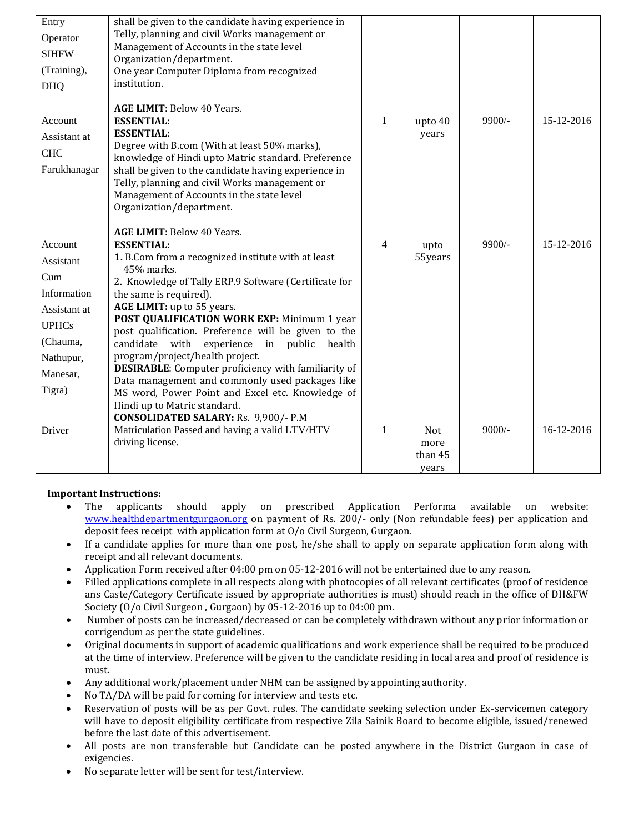| Entry<br>Operator<br><b>SIHFW</b><br>(Training),<br><b>DHQ</b>                                                            | shall be given to the candidate having experience in<br>Telly, planning and civil Works management or<br>Management of Accounts in the state level<br>Organization/department.<br>One year Computer Diploma from recognized<br>institution.                                                                                                                                                                                                                                                                                                                                                                                                          |              |                                 |          |            |
|---------------------------------------------------------------------------------------------------------------------------|------------------------------------------------------------------------------------------------------------------------------------------------------------------------------------------------------------------------------------------------------------------------------------------------------------------------------------------------------------------------------------------------------------------------------------------------------------------------------------------------------------------------------------------------------------------------------------------------------------------------------------------------------|--------------|---------------------------------|----------|------------|
|                                                                                                                           | AGE LIMIT: Below 40 Years.                                                                                                                                                                                                                                                                                                                                                                                                                                                                                                                                                                                                                           |              |                                 |          |            |
| Account<br>Assistant at<br><b>CHC</b><br>Farukhanagar                                                                     | <b>ESSENTIAL:</b><br><b>ESSENTIAL:</b><br>Degree with B.com (With at least 50% marks),<br>knowledge of Hindi upto Matric standard. Preference<br>shall be given to the candidate having experience in<br>Telly, planning and civil Works management or<br>Management of Accounts in the state level<br>Organization/department.<br>AGE LIMIT: Below 40 Years.                                                                                                                                                                                                                                                                                        | $\mathbf{1}$ | upto 40<br>years                | $9900/-$ | 15-12-2016 |
| Account<br>Assistant<br>Cum<br>Information<br>Assistant at<br><b>UPHCs</b><br>(Chauma,<br>Nathupur,<br>Manesar,<br>Tigra) | <b>ESSENTIAL:</b><br>1. B.Com from a recognized institute with at least<br>45% marks.<br>2. Knowledge of Tally ERP.9 Software (Certificate for<br>the same is required).<br>AGE LIMIT: up to 55 years.<br>POST QUALIFICATION WORK EXP: Minimum 1 year<br>post qualification. Preference will be given to the<br>candidate with<br>experience in public health<br>program/project/health project.<br><b>DESIRABLE:</b> Computer proficiency with familiarity of<br>Data management and commonly used packages like<br>MS word, Power Point and Excel etc. Knowledge of<br>Hindi up to Matric standard.<br><b>CONSOLIDATED SALARY: Rs. 9,900/- P.M</b> | 4            | upto<br>55years                 | 9900/-   | 15-12-2016 |
| Driver                                                                                                                    | Matriculation Passed and having a valid LTV/HTV<br>driving license.                                                                                                                                                                                                                                                                                                                                                                                                                                                                                                                                                                                  | $\mathbf{1}$ | Not<br>more<br>than 45<br>years | $9000/-$ | 16-12-2016 |

### **Important Instructions:**

- The applicants should apply on prescribed Application Performa available on website: [www.healthdepartmentgurgaon.org](http://www.healthdepartmentgurgaon.org/) on payment of Rs. 200/- only (Non refundable fees) per application and deposit fees receipt with application form at O/o Civil Surgeon, Gurgaon.
- If a candidate applies for more than one post, he/she shall to apply on separate application form along with receipt and all relevant documents.
- Application Form received after 04:00 pm on 05-12-2016 will not be entertained due to any reason.
- Filled applications complete in all respects along with photocopies of all relevant certificates (proof of residence ans Caste/Category Certificate issued by appropriate authorities is must) should reach in the office of DH&FW Society (O/o Civil Surgeon , Gurgaon) by 05-12-2016 up to 04:00 pm.
- Number of posts can be increased/decreased or can be completely withdrawn without any prior information or corrigendum as per the state guidelines.
- Original documents in support of academic qualifications and work experience shall be required to be produced at the time of interview. Preference will be given to the candidate residing in local area and proof of residence is must.
- Any additional work/placement under NHM can be assigned by appointing authority.
- No TA/DA will be paid for coming for interview and tests etc.
- Reservation of posts will be as per Govt. rules. The candidate seeking selection under Ex-servicemen category will have to deposit eligibility certificate from respective Zila Sainik Board to become eligible, issued/renewed before the last date of this advertisement.
- All posts are non transferable but Candidate can be posted anywhere in the District Gurgaon in case of exigencies.
- No separate letter will be sent for test/interview.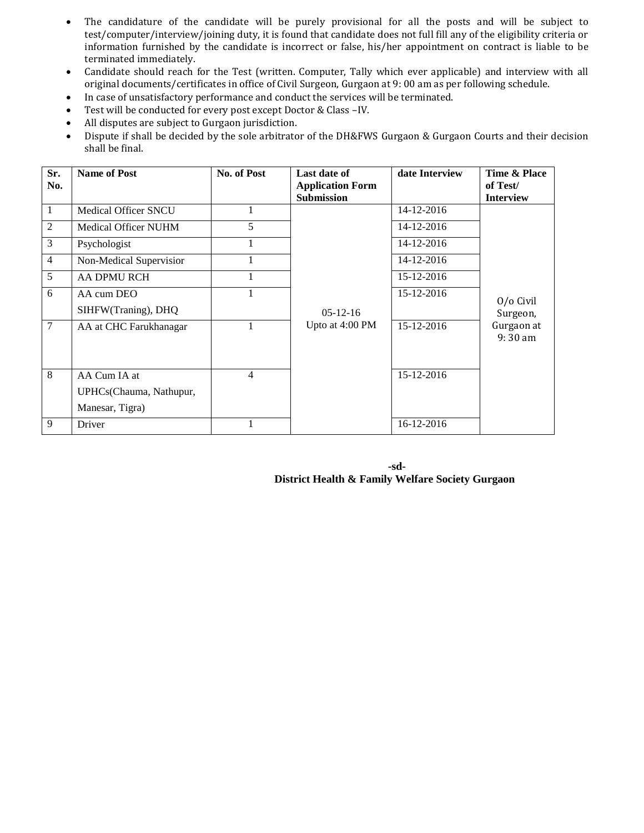- The candidature of the candidate will be purely provisional for all the posts and will be subject to test/computer/interview/joining duty, it is found that candidate does not full fill any of the eligibility criteria or information furnished by the candidate is incorrect or false, his/her appointment on contract is liable to be terminated immediately.
- Candidate should reach for the Test (written. Computer, Tally which ever applicable) and interview with all original documents/certificates in office of Civil Surgeon, Gurgaon at 9: 00 am as per following schedule.
- In case of unsatisfactory performance and conduct the services will be terminated.
- Test will be conducted for every post except Doctor & Class –IV.
- All disputes are subject to Gurgaon jurisdiction.
- Dispute if shall be decided by the sole arbitrator of the DH&FWS Gurgaon & Gurgaon Courts and their decision shall be final.

| Sr.<br>No.     | <b>Name of Post</b>         | No. of Post | Last date of<br><b>Application Form</b><br><b>Submission</b> | date Interview | Time & Place<br>of Test/<br><b>Interview</b> |
|----------------|-----------------------------|-------------|--------------------------------------------------------------|----------------|----------------------------------------------|
| 1              | <b>Medical Officer SNCU</b> |             |                                                              | 14-12-2016     |                                              |
| 2              | <b>Medical Officer NUHM</b> | 5           |                                                              | 14-12-2016     |                                              |
| 3              | Psychologist                | 1           |                                                              | 14-12-2016     |                                              |
| $\overline{4}$ | Non-Medical Supervisior     |             |                                                              | 14-12-2016     |                                              |
| 5              | <b>AA DPMU RCH</b>          |             |                                                              | 15-12-2016     |                                              |
| 6              | AA cum DEO                  |             |                                                              | 15-12-2016     | 0/o Civil                                    |
|                | SIHFW(Traning), DHQ         |             | $05-12-16$                                                   |                | Surgeon,                                     |
| $\overline{7}$ | AA at CHC Farukhanagar      |             | Upto at 4:00 PM                                              | 15-12-2016     | Gurgaon at<br>$9:30$ am                      |
| 8              | AA Cum IA at                | 4           |                                                              | 15-12-2016     |                                              |
|                | UPHCs(Chauma, Nathupur,     |             |                                                              |                |                                              |
|                | Manesar, Tigra)             |             |                                                              |                |                                              |
| 9              | Driver                      |             |                                                              | 16-12-2016     |                                              |

**-sd-District Health & Family Welfare Society Gurgaon**